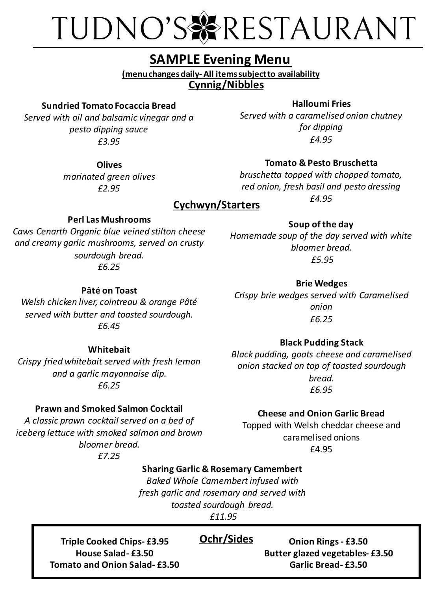# TUDNO'S & RESTAURANT

### **SAMPLE Evening Menu**

**Cynnig/Nibbles (menu changes daily- All items subject to availability**

#### **Sundried Tomato Focaccia Bread**

*Served with oil and balsamic vinegar and a pesto dipping sauce £3.95*

> **Olives** *marinated green olives £2.95*

#### **Halloumi Fries**

*Served with a caramelised onion chutney for dipping £4.95*

#### **Tomato & Pesto Bruschetta**

*bruschetta topped with chopped tomato, red onion, fresh basil and pesto dressing £4.95*

### **Cychwyn/Starters**

#### **Perl Las Mushrooms**

*Caws Cenarth Organic blue veined stilton cheese and creamy garlic mushrooms, served on crusty sourdough bread. £6.25*

*Homemade soup of the day served with white bloomer bread. £5.95*

**Soup of the day**

**Brie Wedges** *Crispy brie wedges served with Caramelised onion*

#### **Black Pudding Stack**

*Black pudding, goats cheese and caramelised onion stacked on top of toasted sourdough bread. £6.95*

#### **Prawn and Smoked Salmon Cocktail**

*A classic prawn cocktail served on a bed of iceberg lettuce with smoked salmon and brown bloomer bread.*

*£7.25*

#### **Cheese and Onion Garlic Bread**

Topped with Welsh cheddar cheese and caramelised onions £4.95

#### **Sharing Garlic & Rosemary Camembert**

*Baked Whole Camembert infused with fresh garlic and rosemary and served with toasted sourdough bread. £11.95*

**Triple Cooked Chips- £3.95 Ochr/Sides House Salad- £3.50 Tomato and Onion Salad- £3.50**

**Onion Rings - £3.50 Butter glazed vegetables- £3.50 Garlic Bread- £3.50**

#### **Pâté on Toast**

*Welsh chicken liver, cointreau & orange Pâté served with butter and toasted sourdough. £6.45*

**Whitebait** *Crispy fried whitebait served with fresh lemon and a garlic mayonnaise dip. £6.25*

*£6.25*